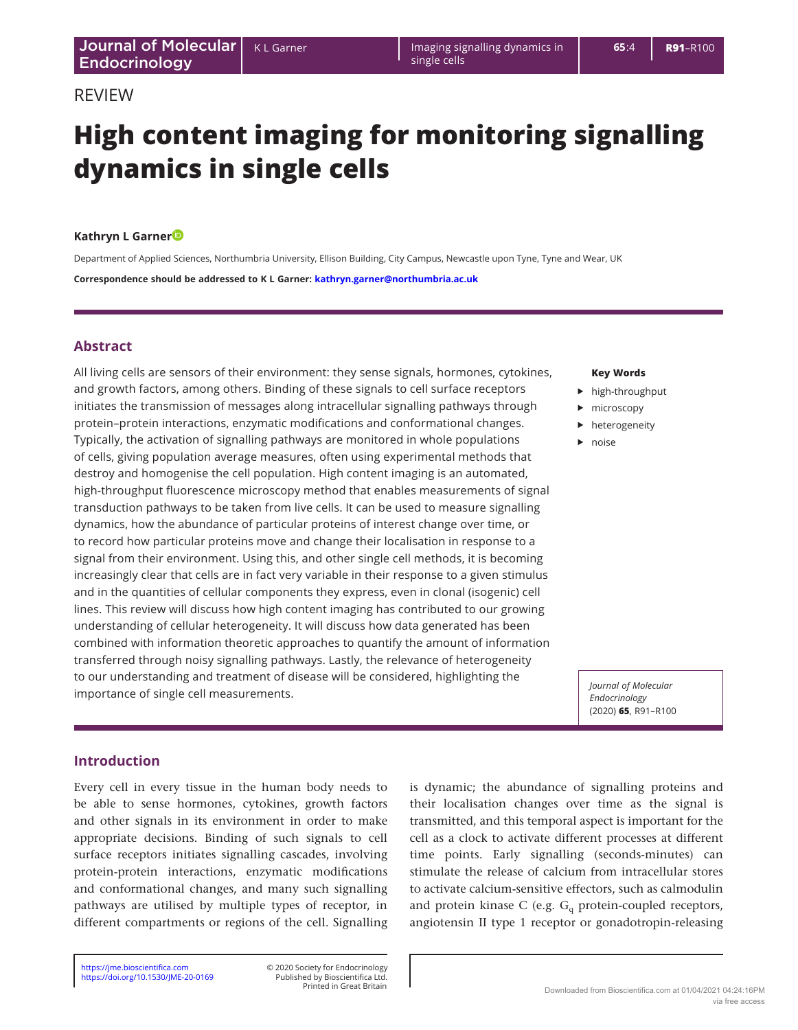# **High content imaging for monitoring signalling dynamics in single cells**

Imaging signalling dynamics in

single cells

## **Kathryn L Garne[r](http://orcid.org/0000-0001-8539-8959)**

Department of Applied Sciences, Northumbria University, Ellison Building, City Campus, Newcastle upon Tyne, Tyne and Wear, UK **Correspondence should be addressed to K L Garner: [kathryn.garner@northumbria.ac.uk](mailto:kathryn.garner@northumbria.ac.uk)**

## **Abstract**

All living cells are sensors of their environment: they sense signals, hormones, cytokines, and growth factors, among others. Binding of these signals to cell surface receptors initiates the transmission of messages along intracellular signalling pathways through protein–protein interactions, enzymatic modifications and conformational changes. Typically, the activation of signalling pathways are monitored in whole populations of cells, giving population average measures, often using experimental methods that destroy and homogenise the cell population. High content imaging is an automated, high-throughput fluorescence microscopy method that enables measurements of signal transduction pathways to be taken from live cells. It can be used to measure signalling dynamics, how the abundance of particular proteins of interest change over time, or to record how particular proteins move and change their localisation in response to a signal from their environment. Using this, and other single cell methods, it is becoming increasingly clear that cells are in fact very variable in their response to a given stimulus and in the quantities of cellular components they express, even in clonal (isogenic) cell lines. This review will discuss how high content imaging has contributed to our growing understanding of cellular heterogeneity. It will discuss how data generated has been combined with information theoretic approaches to quantify the amount of information transferred through noisy signalling pathways. Lastly, the relevance of heterogeneity to our understanding and treatment of disease will be considered, highlighting the importance of single cell measurements.

#### **Key Words**

- $\blacktriangleright$  high-throughput
- $\blacktriangleright$  microscopy
- $\blacktriangleright$  heterogeneity
- $\rho$  noise

*Journal of Molecular Endocrinology*  (2020) **65**, R91–R100

## **Introduction**

Every cell in every tissue in the human body needs to be able to sense hormones, cytokines, growth factors and other signals in its environment in order to make appropriate decisions. Binding of such signals to cell surface receptors initiates signalling cascades, involving protein-protein interactions, enzymatic modifications and conformational changes, and many such signalling pathways are utilised by multiple types of receptor, in different compartments or regions of the cell. Signalling

is dynamic; the abundance of signalling proteins and their localisation changes over time as the signal is transmitted, and this temporal aspect is important for the cell as a clock to activate different processes at different time points. Early signalling (seconds-minutes) can stimulate the release of calcium from intracellular stores to activate calcium-sensitive effectors, such as calmodulin and protein kinase C (e.g.  $G_q$  protein-coupled receptors, angiotensin II type 1 receptor or gonadotropin-releasing

Printed in Great Britain Published by Bioscientifica Ltd.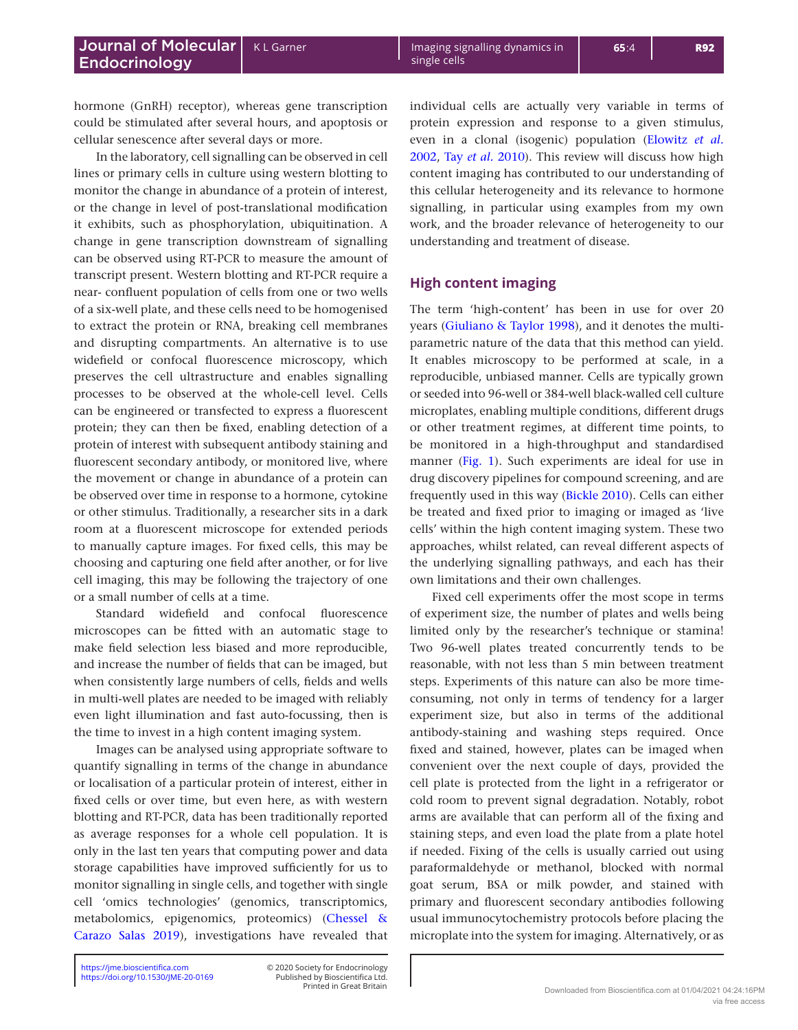hormone (GnRH) receptor), whereas gene transcription could be stimulated after several hours, and apoptosis or cellular senescence after several days or more.

In the laboratory, cell signalling can be observed in cell lines or primary cells in culture using western blotting to monitor the change in abundance of a protein of interest, or the change in level of post-translational modification it exhibits, such as phosphorylation, ubiquitination. A change in gene transcription downstream of signalling can be observed using RT-PCR to measure the amount of transcript present. Western blotting and RT-PCR require a near- confluent population of cells from one or two wells of a six-well plate, and these cells need to be homogenised to extract the protein or RNA, breaking cell membranes and disrupting compartments. An alternative is to use widefield or confocal fluorescence microscopy, which preserves the cell ultrastructure and enables signalling processes to be observed at the whole-cell level. Cells can be engineered or transfected to express a fluorescent protein; they can then be fixed, enabling detection of a protein of interest with subsequent antibody staining and fluorescent secondary antibody, or monitored live, where the movement or change in abundance of a protein can be observed over time in response to a hormone, cytokine or other stimulus. Traditionally, a researcher sits in a dark room at a fluorescent microscope for extended periods to manually capture images. For fixed cells, this may be choosing and capturing one field after another, or for live cell imaging, this may be following the trajectory of one or a small number of cells at a time.

Standard widefield and confocal fluorescence microscopes can be fitted with an automatic stage to make field selection less biased and more reproducible, and increase the number of fields that can be imaged, but when consistently large numbers of cells, fields and wells in multi-well plates are needed to be imaged with reliably even light illumination and fast auto-focussing, then is the time to invest in a high content imaging system.

Images can be analysed using appropriate software to quantify signalling in terms of the change in abundance or localisation of a particular protein of interest, either in fixed cells or over time, but even here, as with western blotting and RT-PCR, data has been traditionally reported as average responses for a whole cell population. It is only in the last ten years that computing power and data storage capabilities have improved sufficiently for us to monitor signalling in single cells, and together with single cell 'omics technologies' (genomics, transcriptomics, metabolomics, epigenomics, proteomics) ([Chessel &](#page-8-0)  [Carazo Salas 2019](#page-8-0)), investigations have revealed that

individual cells are actually very variable in terms of protein expression and response to a given stimulus, even in a clonal (isogenic) population ([Elowitz](#page-8-1) *et al.* [2002](#page-8-1), Tay *et al.* [2010\)](#page-9-0). This review will discuss how high content imaging has contributed to our understanding of this cellular heterogeneity and its relevance to hormone signalling, in particular using examples from my own work, and the broader relevance of heterogeneity to our understanding and treatment of disease.

## **High content imaging**

The term 'high-content' has been in use for over 20 years ([Giuliano & Taylor 1998](#page-8-2)), and it denotes the multiparametric nature of the data that this method can yield. It enables microscopy to be performed at scale, in a reproducible, unbiased manner. Cells are typically grown or seeded into 96-well or 384-well black-walled cell culture microplates, enabling multiple conditions, different drugs or other treatment regimes, at different time points, to be monitored in a high-throughput and standardised manner [\(Fig. 1\)](#page-2-0). Such experiments are ideal for use in drug discovery pipelines for compound screening, and are frequently used in this way [\(Bickle 2010\)](#page-8-3). Cells can either be treated and fixed prior to imaging or imaged as 'live cells' within the high content imaging system. These two approaches, whilst related, can reveal different aspects of the underlying signalling pathways, and each has their own limitations and their own challenges.

Fixed cell experiments offer the most scope in terms of experiment size, the number of plates and wells being limited only by the researcher's technique or stamina! Two 96-well plates treated concurrently tends to be reasonable, with not less than 5 min between treatment steps. Experiments of this nature can also be more timeconsuming, not only in terms of tendency for a larger experiment size, but also in terms of the additional antibody-staining and washing steps required. Once fixed and stained, however, plates can be imaged when convenient over the next couple of days, provided the cell plate is protected from the light in a refrigerator or cold room to prevent signal degradation. Notably, robot arms are available that can perform all of the fixing and staining steps, and even load the plate from a plate hotel if needed. Fixing of the cells is usually carried out using paraformaldehyde or methanol, blocked with normal goat serum, BSA or milk powder, and stained with primary and fluorescent secondary antibodies following usual immunocytochemistry protocols before placing the microplate into the system for imaging. Alternatively, or as

<https://jme.bioscientifica.com> © 2020 Society for Endocrinology Printed in Great Britain Published by Bioscientifica Ltd.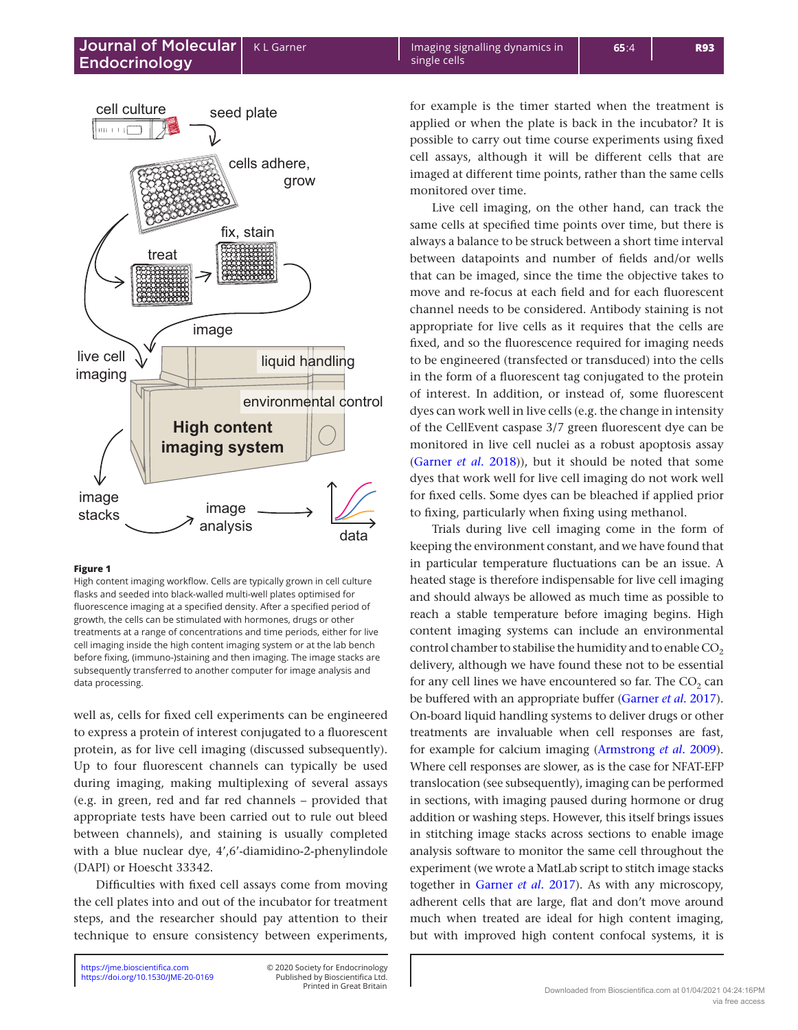<span id="page-2-0"></span>

#### **Figure 1**

High content imaging workflow. Cells are typically grown in cell culture flasks and seeded into black-walled multi-well plates optimised for fluorescence imaging at a specified density. After a specified period of growth, the cells can be stimulated with hormones, drugs or other treatments at a range of concentrations and time periods, either for live cell imaging inside the high content imaging system or at the lab bench before fixing, (immuno-)staining and then imaging. The image stacks are subsequently transferred to another computer for image analysis and data processing.

well as, cells for fixed cell experiments can be engineered to express a protein of interest conjugated to a fluorescent protein, as for live cell imaging (discussed subsequently). Up to four fluorescent channels can typically be used during imaging, making multiplexing of several assays (e.g. in green, red and far red channels – provided that appropriate tests have been carried out to rule out bleed between channels), and staining is usually completed with a blue nuclear dye, 4',6'-diamidino-2-phenylindole (DAPI) or Hoescht 33342.

Difficulties with fixed cell assays come from moving the cell plates into and out of the incubator for treatment steps, and the researcher should pay attention to their technique to ensure consistency between experiments,

Printed in Great Britain Published by Bioscientifica Ltd. for example is the timer started when the treatment is applied or when the plate is back in the incubator? It is possible to carry out time course experiments using fixed cell assays, although it will be different cells that are imaged at different time points, rather than the same cells monitored over time.

Live cell imaging, on the other hand, can track the same cells at specified time points over time, but there is always a balance to be struck between a short time interval between datapoints and number of fields and/or wells that can be imaged, since the time the objective takes to move and re-focus at each field and for each fluorescent channel needs to be considered. Antibody staining is not appropriate for live cells as it requires that the cells are fixed, and so the fluorescence required for imaging needs to be engineered (transfected or transduced) into the cells in the form of a fluorescent tag conjugated to the protein of interest. In addition, or instead of, some fluorescent dyes can work well in live cells (e.g. the change in intensity of the CellEvent caspase 3/7 green fluorescent dye can be monitored in live cell nuclei as a robust apoptosis assay ([Garner](#page-8-4) *et al.* 2018)), but it should be noted that some dyes that work well for live cell imaging do not work well for fixed cells. Some dyes can be bleached if applied prior to fixing, particularly when fixing using methanol.

Trials during live cell imaging come in the form of keeping the environment constant, and we have found that in particular temperature fluctuations can be an issue. A heated stage is therefore indispensable for live cell imaging and should always be allowed as much time as possible to reach a stable temperature before imaging begins. High content imaging systems can include an environmental control chamber to stabilise the humidity and to enable  $CO<sub>2</sub>$ delivery, although we have found these not to be essential for any cell lines we have encountered so far. The  $CO<sub>2</sub>$  can be buffered with an appropriate buffer [\(Garner](#page-8-5) *et al.* 2017). On-board liquid handling systems to deliver drugs or other treatments are invaluable when cell responses are fast, for example for calcium imaging [\(Armstrong](#page-8-6) *et al.* 2009). Where cell responses are slower, as is the case for NFAT-EFP translocation (see subsequently), imaging can be performed in sections, with imaging paused during hormone or drug addition or washing steps. However, this itself brings issues in stitching image stacks across sections to enable image analysis software to monitor the same cell throughout the experiment (we wrote a MatLab script to stitch image stacks together in [Garner](#page-8-5) *et al.* 2017). As with any microscopy, adherent cells that are large, flat and don't move around much when treated are ideal for high content imaging, but with improved high content confocal systems, it is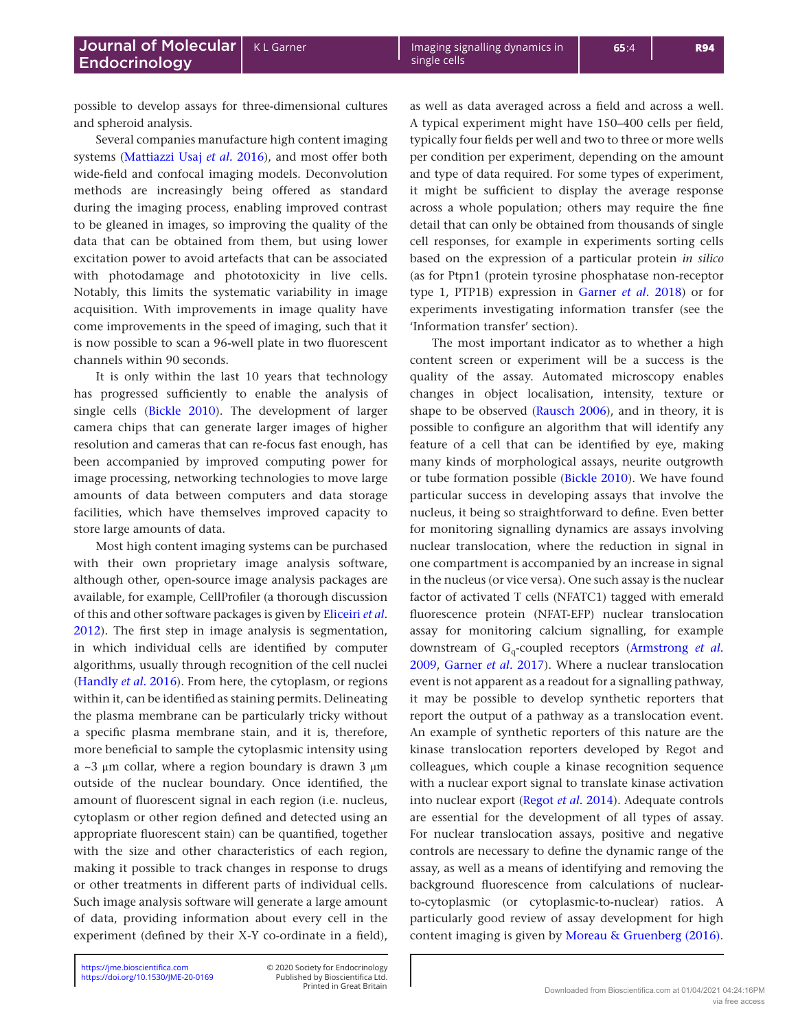possible to develop assays for three-dimensional cultures and spheroid analysis.

Several companies manufacture high content imaging systems [\(Mattiazzi Usaj](#page-9-1) *et al.* 2016), and most offer both wide-field and confocal imaging models. Deconvolution methods are increasingly being offered as standard during the imaging process, enabling improved contrast to be gleaned in images, so improving the quality of the data that can be obtained from them, but using lower excitation power to avoid artefacts that can be associated with photodamage and phototoxicity in live cells. Notably, this limits the systematic variability in image acquisition. With improvements in image quality have come improvements in the speed of imaging, such that it is now possible to scan a 96-well plate in two fluorescent channels within 90 seconds.

It is only within the last 10 years that technology has progressed sufficiently to enable the analysis of single cells [\(Bickle 2010](#page-8-3)). The development of larger camera chips that can generate larger images of higher resolution and cameras that can re-focus fast enough, has been accompanied by improved computing power for image processing, networking technologies to move large amounts of data between computers and data storage facilities, which have themselves improved capacity to store large amounts of data.

Most high content imaging systems can be purchased with their own proprietary image analysis software, although other, open-source image analysis packages are available, for example, CellProfiler (a thorough discussion of this and other software packages is given b[y Eliceiri](#page-8-7) *et al.* [2012](#page-8-7)). The first step in image analysis is segmentation, in which individual cells are identified by computer algorithms, usually through recognition of the cell nuclei ([Handly](#page-8-8) *et al.* 2016). From here, the cytoplasm, or regions within it, can be identified as staining permits. Delineating the plasma membrane can be particularly tricky without a specific plasma membrane stain, and it is, therefore, more beneficial to sample the cytoplasmic intensity using a ~3 μm collar, where a region boundary is drawn 3 μm outside of the nuclear boundary. Once identified, the amount of fluorescent signal in each region (i.e. nucleus, cytoplasm or other region defined and detected using an appropriate fluorescent stain) can be quantified, together with the size and other characteristics of each region, making it possible to track changes in response to drugs or other treatments in different parts of individual cells. Such image analysis software will generate a large amount of data, providing information about every cell in the experiment (defined by their X-Y co-ordinate in a field), as well as data averaged across a field and across a well. A typical experiment might have 150–400 cells per field, typically four fields per well and two to three or more wells per condition per experiment, depending on the amount and type of data required. For some types of experiment, it might be sufficient to display the average response across a whole population; others may require the fine detail that can only be obtained from thousands of single cell responses, for example in experiments sorting cells based on the expression of a particular protein *in silico* (as for Ptpn1 (protein tyrosine phosphatase non-receptor type 1, PTP1B) expression in [Garner](#page-8-4) *et al.* 2018) or for experiments investigating information transfer (see the 'Information transfer' section).

The most important indicator as to whether a high content screen or experiment will be a success is the quality of the assay. Automated microscopy enables changes in object localisation, intensity, texture or shape to be observed ([Rausch 2006\)](#page-9-2), and in theory, it is possible to configure an algorithm that will identify any feature of a cell that can be identified by eye, making many kinds of morphological assays, neurite outgrowth or tube formation possible [\(Bickle 2010](#page-8-3)). We have found particular success in developing assays that involve the nucleus, it being so straightforward to define. Even better for monitoring signalling dynamics are assays involving nuclear translocation, where the reduction in signal in one compartment is accompanied by an increase in signal in the nucleus (or vice versa). One such assay is the nuclear factor of activated T cells (NFATC1) tagged with emerald fluorescence protein (NFAT-EFP) nuclear translocation assay for monitoring calcium signalling, for example downstream of Gq-coupled receptors ([Armstrong](#page-8-6) *et al.* [2009](#page-8-6), [Garner](#page-8-5) *et al.* 2017). Where a nuclear translocation event is not apparent as a readout for a signalling pathway, it may be possible to develop synthetic reporters that report the output of a pathway as a translocation event. An example of synthetic reporters of this nature are the kinase translocation reporters developed by Regot and colleagues, which couple a kinase recognition sequence with a nuclear export signal to translate kinase activation into nuclear export ([Regot](#page-9-3) *et al.* 2014). Adequate controls are essential for the development of all types of assay. For nuclear translocation assays, positive and negative controls are necessary to define the dynamic range of the assay, as well as a means of identifying and removing the background fluorescence from calculations of nuclearto-cytoplasmic (or cytoplasmic-to-nuclear) ratios. A particularly good review of assay development for high content imaging is given by [Moreau & Gruenberg \(2016\).](#page-9-4)

<https://doi.org/10.1530/JME-20-0169> <https://jme.bioscientifica.com> © 2020 Society for Endocrinology

Printed in Great Britain Published by Bioscientifica Ltd.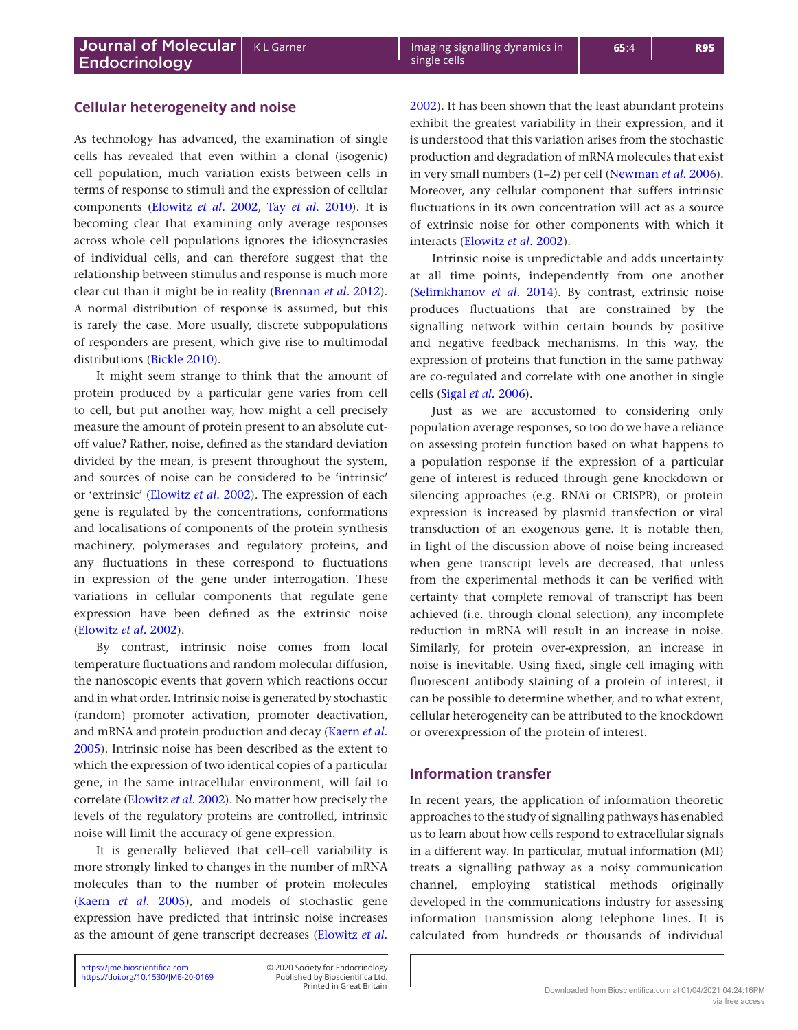# **Cellular heterogeneity and noise**

As technology has advanced, the examination of single cells has revealed that even within a clonal (isogenic) cell population, much variation exists between cells in terms of response to stimuli and the expression of cellular components ([Elowitz](#page-8-1) *et al.* 2002, Tay *et al.* [2010](#page-9-0)). It is becoming clear that examining only average responses across whole cell populations ignores the idiosyncrasies of individual cells, and can therefore suggest that the relationship between stimulus and response is much more clear cut than it might be in reality [\(Brennan](#page-8-9) *et al.* 2012). A normal distribution of response is assumed, but this is rarely the case. More usually, discrete subpopulations of responders are present, which give rise to multimodal distributions ([Bickle 2010\)](#page-8-3).

It might seem strange to think that the amount of protein produced by a particular gene varies from cell to cell, but put another way, how might a cell precisely measure the amount of protein present to an absolute cutoff value? Rather, noise, defined as the standard deviation divided by the mean, is present throughout the system, and sources of noise can be considered to be 'intrinsic' or 'extrinsic' [\(Elowitz](#page-8-1) *et al.* 2002). The expression of each gene is regulated by the concentrations, conformations and localisations of components of the protein synthesis machinery, polymerases and regulatory proteins, and any fluctuations in these correspond to fluctuations in expression of the gene under interrogation. These variations in cellular components that regulate gene expression have been defined as the extrinsic noise ([Elowitz](#page-8-1) *et al.* 2002).

By contrast, intrinsic noise comes from local temperature fluctuations and random molecular diffusion, the nanoscopic events that govern which reactions occur and in what order. Intrinsic noise is generated by stochastic (random) promoter activation, promoter deactivation, and mRNA and protein production and decay ([Kaern](#page-8-10) *et al.* [2005](#page-8-10)). Intrinsic noise has been described as the extent to which the expression of two identical copies of a particular gene, in the same intracellular environment, will fail to correlate [\(Elowitz](#page-8-1) *et al.* 2002). No matter how precisely the levels of the regulatory proteins are controlled, intrinsic noise will limit the accuracy of gene expression.

It is generally believed that cell–cell variability is more strongly linked to changes in the number of mRNA molecules than to the number of protein molecules (Kaern *et al.* [2005](#page-8-10)), and models of stochastic gene expression have predicted that intrinsic noise increases as the amount of gene transcript decreases ([Elowitz](#page-8-1) *et al.*

Printed in Great Britain Published by Bioscientifica Ltd. [2002](#page-8-1)). It has been shown that the least abundant proteins exhibit the greatest variability in their expression, and it is understood that this variation arises from the stochastic production and degradation of mRNA molecules that exist in very small numbers (1–2) per cell [\(Newman](#page-9-5) *et al.* 2006). Moreover, any cellular component that suffers intrinsic fluctuations in its own concentration will act as a source of extrinsic noise for other components with which it interacts [\(Elowitz](#page-8-1) *et al.* 2002).

Intrinsic noise is unpredictable and adds uncertainty at all time points, independently from one another ([Selimkhanov](#page-9-6) *et al.* 2014). By contrast, extrinsic noise produces fluctuations that are constrained by the signalling network within certain bounds by positive and negative feedback mechanisms. In this way, the expression of proteins that function in the same pathway are co-regulated and correlate with one another in single cells (Sigal *et al.* [2006](#page-9-7)).

Just as we are accustomed to considering only population average responses, so too do we have a reliance on assessing protein function based on what happens to a population response if the expression of a particular gene of interest is reduced through gene knockdown or silencing approaches (e.g. RNAi or CRISPR), or protein expression is increased by plasmid transfection or viral transduction of an exogenous gene. It is notable then, in light of the discussion above of noise being increased when gene transcript levels are decreased, that unless from the experimental methods it can be verified with certainty that complete removal of transcript has been achieved (i.e. through clonal selection), any incomplete reduction in mRNA will result in an increase in noise. Similarly, for protein over-expression, an increase in noise is inevitable. Using fixed, single cell imaging with fluorescent antibody staining of a protein of interest, it can be possible to determine whether, and to what extent, cellular heterogeneity can be attributed to the knockdown or overexpression of the protein of interest.

## **Information transfer**

In recent years, the application of information theoretic approaches to the study of signalling pathways has enabled us to learn about how cells respond to extracellular signals in a different way. In particular, mutual information (MI) treats a signalling pathway as a noisy communication channel, employing statistical methods originally developed in the communications industry for assessing information transmission along telephone lines. It is calculated from hundreds or thousands of individual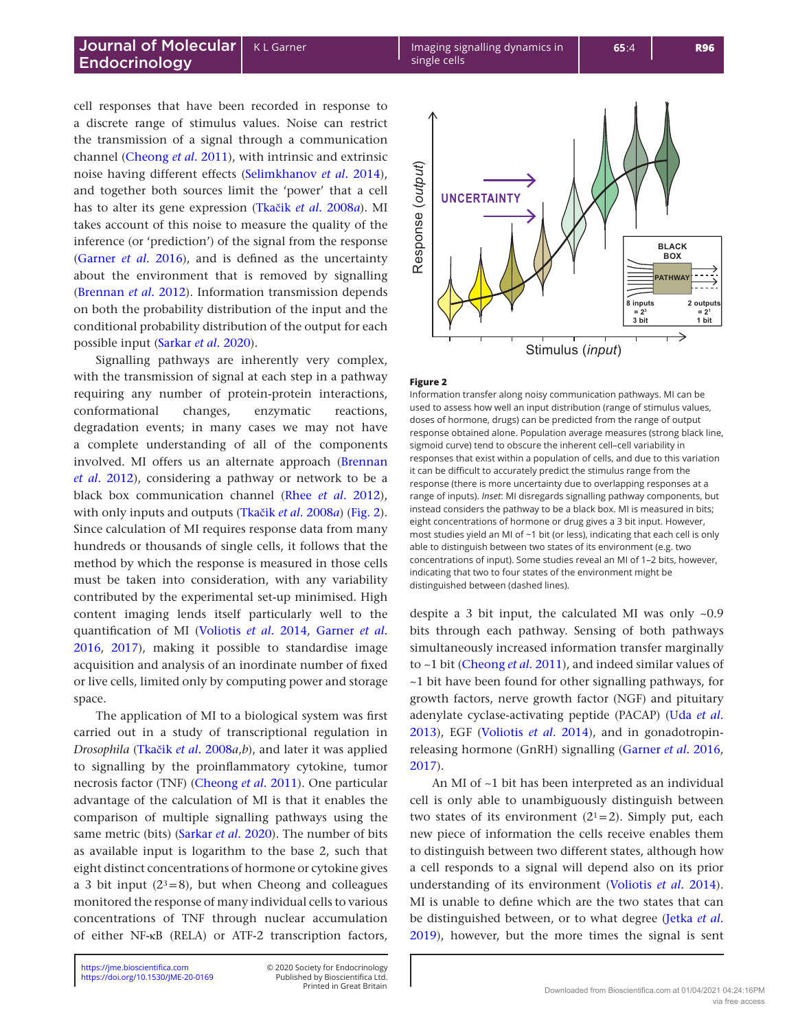cell responses that have been recorded in response to a discrete range of stimulus values. Noise can restrict the transmission of a signal through a communication channel [\(Cheong](#page-8-11) *et al.* 2011), with intrinsic and extrinsic noise having different effects [\(Selimkhanov](#page-9-6) *et al.* 2014), and together both sources limit the 'power' that a cell has to alter its gene expression (Tkačik *et al.* [2008](#page-9-8)*a*). MI takes account of this noise to measure the quality of the inference (or 'prediction') of the signal from the response ([Garner](#page-8-12) *et al.* 2016), and is defined as the uncertainty about the environment that is removed by signalling ([Brennan](#page-8-9) *et al.* 2012). Information transmission depends on both the probability distribution of the input and the conditional probability distribution of the output for each possible input [\(Sarkar](#page-9-9) *et al.* 2020).

Signalling pathways are inherently very complex, with the transmission of signal at each step in a pathway requiring any number of protein-protein interactions, conformational changes, enzymatic reactions, degradation events; in many cases we may not have a complete understanding of all of the components involved. MI offers us an alternate approach ([Brennan](#page-8-9)  *et al.* [2012\)](#page-8-9), considering a pathway or network to be a black box communication channel (Rhee *et al.* [2012\)](#page-9-10), with only inputs and outputs (Tkačik *et al.* [2008](#page-9-8)*a*) (Fig. 2). Since calculation of MI requires response data from many hundreds or thousands of single cells, it follows that the method by which the response is measured in those cells must be taken into consideration, with any variability contributed by the experimental set-up minimised. High content imaging lends itself particularly well to the quantification of MI ([Voliotis](#page-9-11) *et al.* 2014, [Garner](#page-8-12) *et al.* [2016](#page-8-12), [2017](#page-8-5)), making it possible to standardise image acquisition and analysis of an inordinate number of fixed or live cells, limited only by computing power and storage space.

The application of MI to a biological system was first carried out in a study of transcriptional regulation in *Drosophila* (Tkačik *et al.* [2008](#page-9-8)*a*,*b*), and later it was applied to signalling by the proinflammatory cytokine, tumor necrosis factor (TNF) ([Cheong](#page-8-11) *et al.* 2011). One particular advantage of the calculation of MI is that it enables the comparison of multiple signalling pathways using the same metric (bits) [\(Sarkar](#page-9-9) *et al.* 2020). The number of bits as available input is logarithm to the base 2, such that eight distinct concentrations of hormone or cytokine gives a 3 bit input  $(2^3=8)$ , but when Cheong and colleagues monitored the response of many individual cells to various concentrations of TNF through nuclear accumulation of either NF-κB (RELA) or ATF-2 transcription factors,

Printed in Great Britain Published by Bioscientifica Ltd.



#### **Figure 2**

Information transfer along noisy communication pathways. MI can be used to assess how well an input distribution (range of stimulus values, doses of hormone, drugs) can be predicted from the range of output response obtained alone. Population average measures (strong black line, sigmoid curve) tend to obscure the inherent cell–cell variability in responses that exist within a population of cells, and due to this variation it can be difficult to accurately predict the stimulus range from the response (there is more uncertainty due to overlapping responses at a range of inputs). *Inset*: MI disregards signalling pathway components, but instead considers the pathway to be a black box. MI is measured in bits; eight concentrations of hormone or drug gives a 3 bit input. However, most studies yield an MI of ~1 bit (or less), indicating that each cell is only able to distinguish between two states of its environment (e.g. two concentrations of input). Some studies reveal an MI of 1–2 bits, however, indicating that two to four states of the environment might be distinguished between (dashed lines).

despite a 3 bit input, the calculated MI was only ~0.9 bits through each pathway. Sensing of both pathways simultaneously increased information transfer marginally to ~1 bit ([Cheong](#page-8-11) *et al.* 2011), and indeed similar values of ~1 bit have been found for other signalling pathways, for growth factors, nerve growth factor (NGF) and pituitary adenylate cyclase-activating peptide (PACAP) (Uda *[et al.](#page-9-12)* [2013](#page-9-12)), EGF ([Voliotis](#page-9-11) *et al.* 2014), and in gonadotropinreleasing hormone (GnRH) signalling [\(Garner](#page-8-12) *et al.* 2016, [2017](#page-8-5)).

An MI of ~1 bit has been interpreted as an individual cell is only able to unambiguously distinguish between two states of its environment  $(2<sup>1</sup>=2)$ . Simply put, each new piece of information the cells receive enables them to distinguish between two different states, although how a cell responds to a signal will depend also on its prior understanding of its environment [\(Voliotis](#page-9-11) *et al.* 2014). MI is unable to define which are the two states that can be distinguished between, or to what degree [\(Jetka](#page-8-13) *et al.* [2019](#page-8-13)), however, but the more times the signal is sent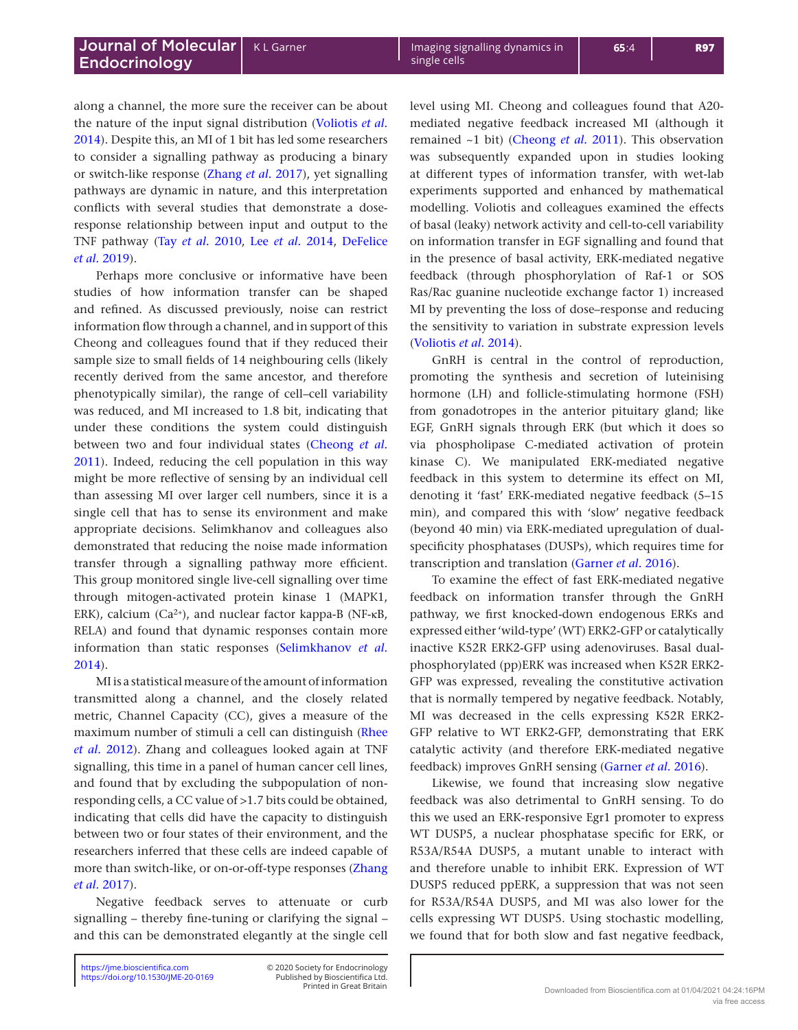along a channel, the more sure the receiver can be about the nature of the input signal distribution [\(Voliotis](#page-9-11) *et al.* [2014](#page-9-11)). Despite this, an MI of 1 bit has led some researchers to consider a signalling pathway as producing a binary or switch-like response [\(Zhang](#page-9-13) *et al.* 2017), yet signalling pathways are dynamic in nature, and this interpretation conflicts with several studies that demonstrate a doseresponse relationship between input and output to the TNF pathway (Tay *et al.* [2010,](#page-9-0) Lee *et al.* [2014,](#page-9-14) [DeFelice](#page-8-14)  *et al.* [2019](#page-8-14)).

Perhaps more conclusive or informative have been studies of how information transfer can be shaped and refined. As discussed previously, noise can restrict information flow through a channel, and in support of this Cheong and colleagues found that if they reduced their sample size to small fields of 14 neighbouring cells (likely recently derived from the same ancestor, and therefore phenotypically similar), the range of cell–cell variability was reduced, and MI increased to 1.8 bit, indicating that under these conditions the system could distinguish between two and four individual states [\(Cheong](#page-8-11) *et al.* [2011](#page-8-11)). Indeed, reducing the cell population in this way might be more reflective of sensing by an individual cell than assessing MI over larger cell numbers, since it is a single cell that has to sense its environment and make appropriate decisions. Selimkhanov and colleagues also demonstrated that reducing the noise made information transfer through a signalling pathway more efficient. This group monitored single live-cell signalling over time through mitogen-activated protein kinase 1 (MAPK1, ERK), calcium (Ca2+), and nuclear factor kappa-B (NF-κB, RELA) and found that dynamic responses contain more information than static responses ([Selimkhanov](#page-9-6) *et al.* [2014](#page-9-6)).

MI is a statistical measure of the amount of information transmitted along a channel, and the closely related metric, Channel Capacity (CC), gives a measure of the maximum number of stimuli a cell can distinguish [\(Rhee](#page-9-10)  *et al.* [2012](#page-9-10)). Zhang and colleagues looked again at TNF signalling, this time in a panel of human cancer cell lines, and found that by excluding the subpopulation of nonresponding cells, a CC value of >1.7 bits could be obtained, indicating that cells did have the capacity to distinguish between two or four states of their environment, and the researchers inferred that these cells are indeed capable of more than switch-like, or on-or-off-type responses [\(Zhang](#page-9-13)  *et al.* [2017](#page-9-13)).

Negative feedback serves to attenuate or curb signalling – thereby fine-tuning or clarifying the signal – and this can be demonstrated elegantly at the single cell

Printed in Great Britain Published by Bioscientifica Ltd. level using MI. Cheong and colleagues found that A20 mediated negative feedback increased MI (although it remained ~1 bit) ([Cheong](#page-8-11) *et al.* 2011). This observation was subsequently expanded upon in studies looking at different types of information transfer, with wet-lab experiments supported and enhanced by mathematical modelling. Voliotis and colleagues examined the effects of basal (leaky) network activity and cell-to-cell variability on information transfer in EGF signalling and found that in the presence of basal activity, ERK-mediated negative feedback (through phosphorylation of Raf-1 or SOS Ras/Rac guanine nucleotide exchange factor 1) increased MI by preventing the loss of dose–response and reducing the sensitivity to variation in substrate expression levels ([Voliotis](#page-9-11) *et al.* 2014).

GnRH is central in the control of reproduction, promoting the synthesis and secretion of luteinising hormone (LH) and follicle-stimulating hormone (FSH) from gonadotropes in the anterior pituitary gland; like EGF, GnRH signals through ERK (but which it does so via phospholipase C-mediated activation of protein kinase C). We manipulated ERK-mediated negative feedback in this system to determine its effect on MI, denoting it 'fast' ERK-mediated negative feedback (5–15 min), and compared this with 'slow' negative feedback (beyond 40 min) via ERK-mediated upregulation of dualspecificity phosphatases (DUSPs), which requires time for transcription and translation ([Garner](#page-8-12) *et al.* 2016).

To examine the effect of fast ERK-mediated negative feedback on information transfer through the GnRH pathway, we first knocked-down endogenous ERKs and expressed either 'wild-type' (WT) ERK2-GFP or catalytically inactive K52R ERK2-GFP using adenoviruses. Basal dualphosphorylated (pp)ERK was increased when K52R ERK2- GFP was expressed, revealing the constitutive activation that is normally tempered by negative feedback. Notably, MI was decreased in the cells expressing K52R ERK2- GFP relative to WT ERK2-GFP, demonstrating that ERK catalytic activity (and therefore ERK-mediated negative feedback) improves GnRH sensing ([Garner](#page-8-12) *et al.* 2016).

Likewise, we found that increasing slow negative feedback was also detrimental to GnRH sensing. To do this we used an ERK-responsive Egr1 promoter to express WT DUSP5, a nuclear phosphatase specific for ERK, or R53A/R54A DUSP5, a mutant unable to interact with and therefore unable to inhibit ERK. Expression of WT DUSP5 reduced ppERK, a suppression that was not seen for R53A/R54A DUSP5, and MI was also lower for the cells expressing WT DUSP5. Using stochastic modelling, we found that for both slow and fast negative feedback,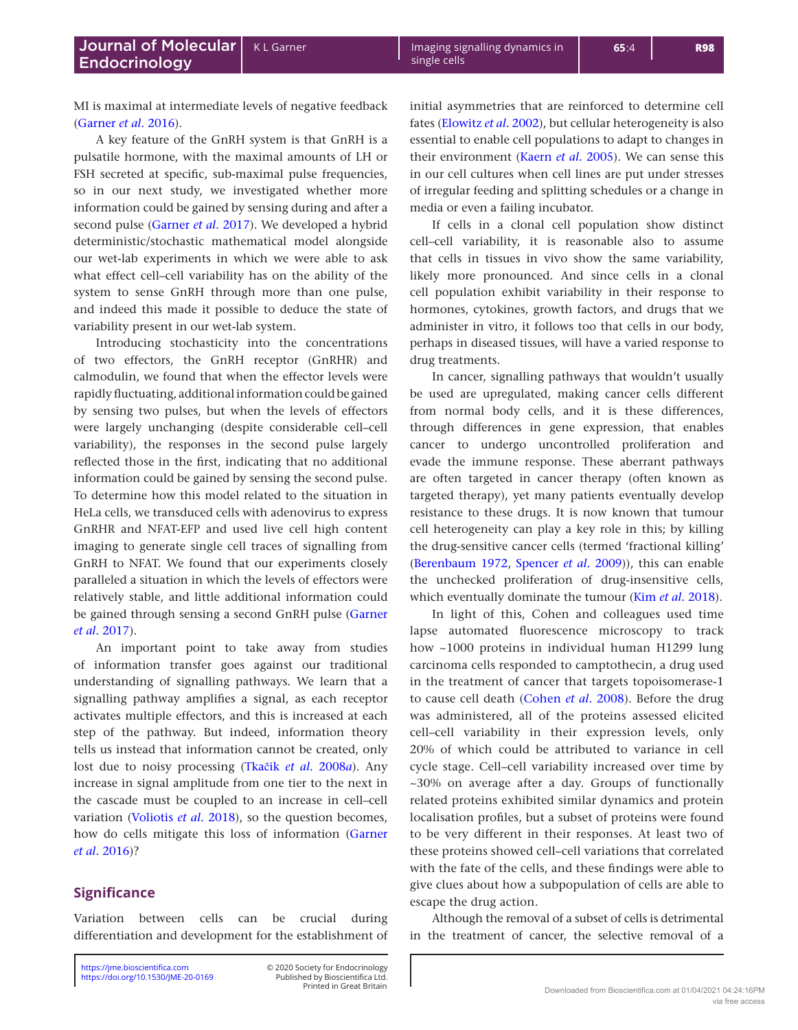MI is maximal at intermediate levels of negative feedback ([Garner](#page-8-12) *et al.* 2016).

A key feature of the GnRH system is that GnRH is a pulsatile hormone, with the maximal amounts of LH or FSH secreted at specific, sub-maximal pulse frequencies, so in our next study, we investigated whether more information could be gained by sensing during and after a second pulse ([Garner](#page-8-5) *et al.* 2017). We developed a hybrid deterministic/stochastic mathematical model alongside our wet-lab experiments in which we were able to ask what effect cell–cell variability has on the ability of the system to sense GnRH through more than one pulse, and indeed this made it possible to deduce the state of variability present in our wet-lab system.

Introducing stochasticity into the concentrations of two effectors, the GnRH receptor (GnRHR) and calmodulin, we found that when the effector levels were rapidly fluctuating, additional information could be gained by sensing two pulses, but when the levels of effectors were largely unchanging (despite considerable cell–cell variability), the responses in the second pulse largely reflected those in the first, indicating that no additional information could be gained by sensing the second pulse. To determine how this model related to the situation in HeLa cells, we transduced cells with adenovirus to express GnRHR and NFAT-EFP and used live cell high content imaging to generate single cell traces of signalling from GnRH to NFAT. We found that our experiments closely paralleled a situation in which the levels of effectors were relatively stable, and little additional information could be gained through sensing a second GnRH pulse ([Garner](#page-8-5)  *et al.* [2017](#page-8-5)).

An important point to take away from studies of information transfer goes against our traditional understanding of signalling pathways. We learn that a signalling pathway amplifies a signal, as each receptor activates multiple effectors, and this is increased at each step of the pathway. But indeed, information theory tells us instead that information cannot be created, only lost due to noisy processing (Tkačik *et al.* [2008](#page-9-8)*a*). Any increase in signal amplitude from one tier to the next in the cascade must be coupled to an increase in cell–cell variation ([Voliotis](#page-9-15) *et al.* 2018), so the question becomes, how do cells mitigate this loss of information ([Garner](#page-8-12)  *et al.* [2016](#page-8-12))?

## **Significance**

Variation between cells can be crucial during differentiation and development for the establishment of

<https://doi.org/10.1530/JME-20-0169> <https://jme.bioscientifica.com> © 2020 Society for Endocrinology

Printed in Great Britain Published by Bioscientifica Ltd. initial asymmetries that are reinforced to determine cell fates [\(Elowitz](#page-8-1) *et al.* 2002), but cellular heterogeneity is also essential to enable cell populations to adapt to changes in

single cells

their environment [\(Kaern](#page-8-10) *et al.* 2005). We can sense this in our cell cultures when cell lines are put under stresses of irregular feeding and splitting schedules or a change in media or even a failing incubator.

If cells in a clonal cell population show distinct cell–cell variability, it is reasonable also to assume that cells in tissues in vivo show the same variability, likely more pronounced. And since cells in a clonal cell population exhibit variability in their response to hormones, cytokines, growth factors, and drugs that we administer in vitro, it follows too that cells in our body, perhaps in diseased tissues, will have a varied response to drug treatments.

In cancer, signalling pathways that wouldn't usually be used are upregulated, making cancer cells different from normal body cells, and it is these differences, through differences in gene expression, that enables cancer to undergo uncontrolled proliferation and evade the immune response. These aberrant pathways are often targeted in cancer therapy (often known as targeted therapy), yet many patients eventually develop resistance to these drugs. It is now known that tumour cell heterogeneity can play a key role in this; by killing the drug-sensitive cancer cells (termed 'fractional killing' ([Berenbaum 1972,](#page-8-15) [Spencer](#page-9-16) *et al.* 2009)), this can enable the unchecked proliferation of drug-insensitive cells, which eventually dominate the tumour (Kim *et al.* [2018](#page-8-16)).

In light of this, Cohen and colleagues used time lapse automated fluorescence microscopy to track how ~1000 proteins in individual human H1299 lung carcinoma cells responded to camptothecin, a drug used in the treatment of cancer that targets topoisomerase-1 to cause cell death ([Cohen](#page-8-17) *et al.* 2008). Before the drug was administered, all of the proteins assessed elicited cell–cell variability in their expression levels, only 20% of which could be attributed to variance in cell cycle stage. Cell–cell variability increased over time by ~30% on average after a day. Groups of functionally related proteins exhibited similar dynamics and protein localisation profiles, but a subset of proteins were found to be very different in their responses. At least two of these proteins showed cell–cell variations that correlated with the fate of the cells, and these findings were able to give clues about how a subpopulation of cells are able to escape the drug action.

Although the removal of a subset of cells is detrimental in the treatment of cancer, the selective removal of a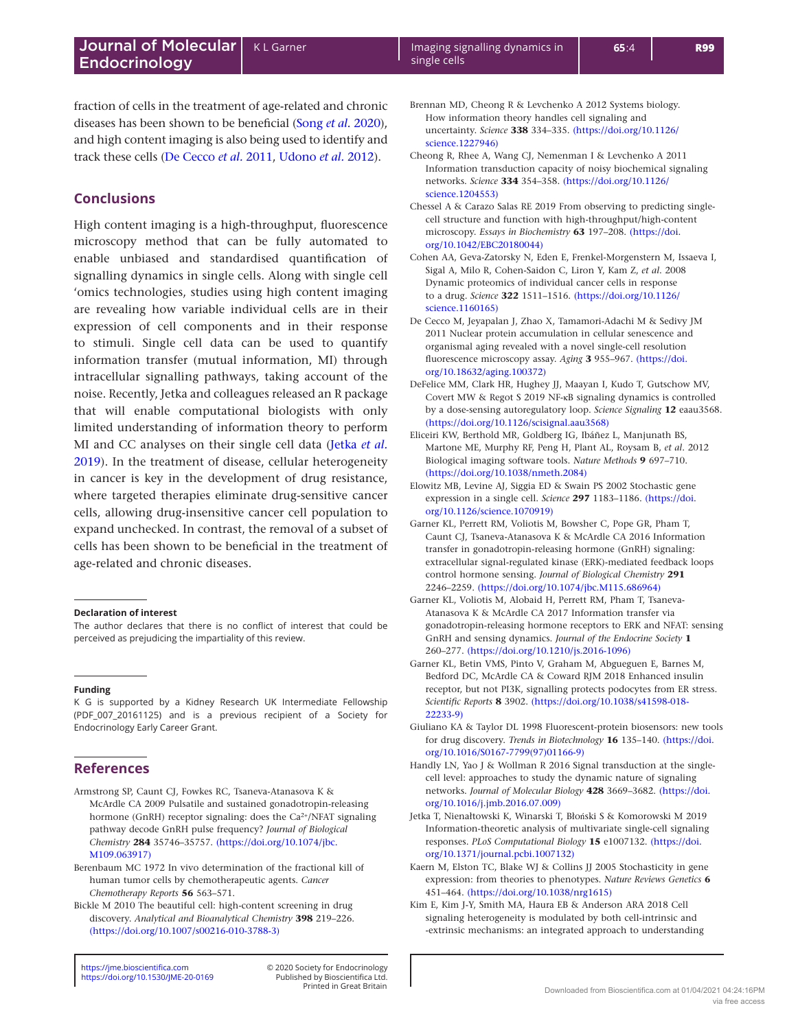fraction of cells in the treatment of age-related and chronic diseases has been shown to be beneficial (Song *et al.* [2020](#page-9-17)), and high content imaging is also being used to identify and track these cells [\(De Cecco](#page-8-18) *et al.* 2011, [Udono](#page-9-18) *et al.* 2012).

# **Conclusions**

High content imaging is a high-throughput, fluorescence microscopy method that can be fully automated to enable unbiased and standardised quantification of signalling dynamics in single cells. Along with single cell 'omics technologies, studies using high content imaging are revealing how variable individual cells are in their expression of cell components and in their response to stimuli. Single cell data can be used to quantify information transfer (mutual information, MI) through intracellular signalling pathways, taking account of the noise. Recently, Jetka and colleagues released an R package that will enable computational biologists with only limited understanding of information theory to perform MI and CC analyses on their single cell data ([Jetka](#page-8-13) *et al.* [2019](#page-8-13)). In the treatment of disease, cellular heterogeneity in cancer is key in the development of drug resistance, where targeted therapies eliminate drug-sensitive cancer cells, allowing drug-insensitive cancer cell population to expand unchecked. In contrast, the removal of a subset of cells has been shown to be beneficial in the treatment of age-related and chronic diseases.

#### **Declaration of interest**

The author declares that there is no conflict of interest that could be perceived as prejudicing the impartiality of this review.

#### **Funding**

K G is supported by a Kidney Research UK Intermediate Fellowship (PDF\_007\_20161125) and is a previous recipient of a Society for Endocrinology Early Career Grant.

## **References**

- <span id="page-8-6"></span>Armstrong SP, Caunt CJ, Fowkes RC, Tsaneva-Atanasova K & McArdle CA 2009 Pulsatile and sustained gonadotropin-releasing hormone (GnRH) receptor signaling: does the Ca<sup>2+</sup>/NFAT signaling pathway decode GnRH pulse frequency? *Journal of Biological Chemistry* **284** 35746–35757. [\(https://doi.org/10.1074/jbc.](https://doi.org/10.1074/jbc.M109.063917) [M109.063917\)](https://doi.org/10.1074/jbc.M109.063917)
- <span id="page-8-15"></span>Berenbaum MC 1972 In vivo determination of the fractional kill of human tumor cells by chemotherapeutic agents. *Cancer Chemotherapy Reports* **56** 563–571.

<span id="page-8-3"></span>Bickle M 2010 The beautiful cell: high-content screening in drug discovery. *Analytical and Bioanalytical Chemistry* **398** 219–226. [\(https://doi.org/10.1007/s00216-010-3788-3\)](https://doi.org/10.1007/s00216-010-3788-3)

Printed in Great Britain Published by Bioscientifica Ltd. <span id="page-8-9"></span>Brennan MD, Cheong R & Levchenko A 2012 Systems biology. How information theory handles cell signaling and uncertainty. *Science* **338** 334–335. [\(https://doi.org/10.1126/](https://doi.org/10.1126/science.1227946) [science.1227946\)](https://doi.org/10.1126/science.1227946)

- <span id="page-8-11"></span>Cheong R, Rhee A, Wang CJ, Nemenman I & Levchenko A 2011 Information transduction capacity of noisy biochemical signaling networks. *Science* **334** 354–358. [\(https://doi.org/10.1126/](https://doi.org/10.1126/science.1204553) [science.1204553\)](https://doi.org/10.1126/science.1204553)
- <span id="page-8-0"></span>Chessel A & Carazo Salas RE 2019 From observing to predicting singlecell structure and function with high-throughput/high-content microscopy. *Essays in Biochemistry* **63** 197–208. [\(https://doi.](https://doi.org/10.1042/EBC20180044) [org/10.1042/EBC20180044\)](https://doi.org/10.1042/EBC20180044)
- <span id="page-8-17"></span>Cohen AA, Geva-Zatorsky N, Eden E, Frenkel-Morgenstern M, Issaeva I, Sigal A, Milo R, Cohen-Saidon C, Liron Y, Kam Z, *et al*. 2008 Dynamic proteomics of individual cancer cells in response to a drug. *Science* **322** 1511–1516. [\(https://doi.org/10.1126/](https://doi.org/10.1126/science.1160165) [science.1160165\)](https://doi.org/10.1126/science.1160165)
- <span id="page-8-18"></span>De Cecco M, Jeyapalan J, Zhao X, Tamamori-Adachi M & Sedivy JM 2011 Nuclear protein accumulation in cellular senescence and organismal aging revealed with a novel single-cell resolution fluorescence microscopy assay. *Aging* **3** 955–967. [\(https://doi.](https://doi.org/10.18632/aging.100372) [org/10.18632/aging.100372\)](https://doi.org/10.18632/aging.100372)
- <span id="page-8-14"></span>DeFelice MM, Clark HR, Hughey JJ, Maayan I, Kudo T, Gutschow MV, Covert MW & Regot S 2019 NF-κB signaling dynamics is controlled by a dose-sensing autoregulatory loop. *Science Signaling* **12** eaau3568. [\(https://doi.org/10.1126/scisignal.aau3568\)](https://doi.org/10.1126/scisignal.aau3568)
- <span id="page-8-7"></span>Eliceiri KW, Berthold MR, Goldberg IG, Ibáñez L, Manjunath BS, Martone ME, Murphy RF, Peng H, Plant AL, Roysam B, *et al*. 2012 Biological imaging software tools. *Nature Methods* **9** 697–710. [\(https://doi.org/10.1038/nmeth.2084\)](https://doi.org/10.1038/nmeth.2084)
- <span id="page-8-1"></span>Elowitz MB, Levine AJ, Siggia ED & Swain PS 2002 Stochastic gene expression in a single cell. *Science* **297** 1183–1186. [\(https://doi.](https://doi.org/10.1126/science.1070919) [org/10.1126/science.1070919\)](https://doi.org/10.1126/science.1070919)
- <span id="page-8-12"></span>Garner KL, Perrett RM, Voliotis M, Bowsher C, Pope GR, Pham T, Caunt CJ, Tsaneva-Atanasova K & McArdle CA 2016 Information transfer in gonadotropin-releasing hormone (GnRH) signaling: extracellular signal-regulated kinase (ERK)-mediated feedback loops control hormone sensing. *Journal of Biological Chemistry* **291** 2246–2259. [\(https://doi.org/10.1074/jbc.M115.686964\)](https://doi.org/10.1074/jbc.M115.686964)
- <span id="page-8-5"></span>Garner KL, Voliotis M, Alobaid H, Perrett RM, Pham T, Tsaneva-Atanasova K & McArdle CA 2017 Information transfer via gonadotropin-releasing hormone receptors to ERK and NFAT: sensing GnRH and sensing dynamics. *Journal of the Endocrine Society* **1** 260–277. [\(https://doi.org/10.1210/js.2016-1096\)](https://doi.org/10.1210/js.2016-1096)
- <span id="page-8-4"></span>Garner KL, Betin VMS, Pinto V, Graham M, Abgueguen E, Barnes M, Bedford DC, McArdle CA & Coward RJM 2018 Enhanced insulin receptor, but not PI3K, signalling protects podocytes from ER stress. *Scientific Reports* **8** 3902. [\(https://doi.org/10.1038/s41598-018-](https://doi.org/10.1038/s41598-018-22233-9) [22233-9\)](https://doi.org/10.1038/s41598-018-22233-9)
- <span id="page-8-2"></span>Giuliano KA & Taylor DL 1998 Fluorescent-protein biosensors: new tools for drug discovery. *Trends in Biotechnology* **16** 135–140. [\(https://doi.](https://doi.org/10.1016/S0167-7799(97)01166-9) [org/10.1016/S0167-7799\(97\)01166-9\)](https://doi.org/10.1016/S0167-7799(97)01166-9)
- <span id="page-8-8"></span>Handly LN, Yao J & Wollman R 2016 Signal transduction at the singlecell level: approaches to study the dynamic nature of signaling networks. *Journal of Molecular Biology* **428** 3669–3682. [\(https://doi.](https://doi.org/10.1016/j.jmb.2016.07.009) [org/10.1016/j.jmb.2016.07.009\)](https://doi.org/10.1016/j.jmb.2016.07.009)
- <span id="page-8-13"></span>Jetka T, Nienałtowski K, Winarski T, Błoński S & Komorowski M 2019 Information-theoretic analysis of multivariate single-cell signaling responses. *PLoS Computational Biology* **15** e1007132. [\(https://doi.](https://doi.org/10.1371/journal.pcbi.1007132) [org/10.1371/journal.pcbi.1007132\)](https://doi.org/10.1371/journal.pcbi.1007132)
- <span id="page-8-10"></span>Kaern M, Elston TC, Blake WJ & Collins JJ 2005 Stochasticity in gene expression: from theories to phenotypes. *Nature Reviews Genetics* **6** 451–464. [\(https://doi.org/10.1038/nrg1615\)](https://doi.org/10.1038/nrg1615)
- <span id="page-8-16"></span>Kim E, Kim J-Y, Smith MA, Haura EB & Anderson ARA 2018 Cell signaling heterogeneity is modulated by both cell-intrinsic and -extrinsic mechanisms: an integrated approach to understanding